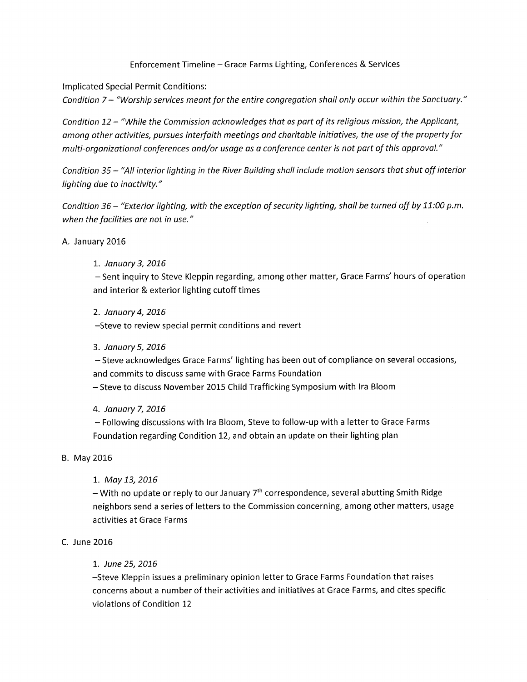## Enforcement Timeline - Grace Farms Lighting, Conferences & Services

lmplicated Special Permit Conditions:

Condition 7 - "Worship services meant for the entire congregation shall only occur within the Sanctuary."

Condition 12 - "While the Commission acknowledges that as part of its religious mission, the Applicant, among other activities, pursues interfaith meetings and charitable initiatives, the use of the property for multi-organizational conferences and/or usage as a conference center is not part of this approval."

Condition 35 - "All interior lighting in the River Building shall include motion sensors that shut off interior lighting due to inactivity."

Condition 36 - "Exterior lighting, with the exception of security lighting, shall be turned off by 11:00 p.m. when the facilities are not in use."

### A. January 2016

## 1. January 3, 2016

- Sent inquiry to Steve Kleppin regarding, among other matter, Grace Farms' hours of operation and interior & exterior lighting cutoff times

2. January 4, 2016

-Steve to review special permit conditions and revert

### 3. January 5, 2016

- Steve acknowledges Grace Farms' lighting has been out of compliance on several occasions, and commits to discuss same with Grace Farms Foundation

- Steve to discuss November 2015 Child Trafficking Symposium with Ira Bloom

### 4. Januory 7,2076

- Following discussions with lra Bloom, Steve to follow-up with a letter to Grace Farms Foundation regarding Condition 12, and obtain an update on their lighting plan

### B. May 2016

1. May 13, 2016

- With no update or reply to our January 7<sup>th</sup> correspondence, several abutting Smith Ridge neighbors send a series of letters to the Commission concerning, among other matters, usage activities at Grace Farms

### C. June 2016

### 1. June 25, 2016

-Steve Kleppin issues a preliminary opinion letter to Grace Farms Foundation that raises concerns about a number of their activities and initiatives at Grace Farms, and cites specific violations of Condition 12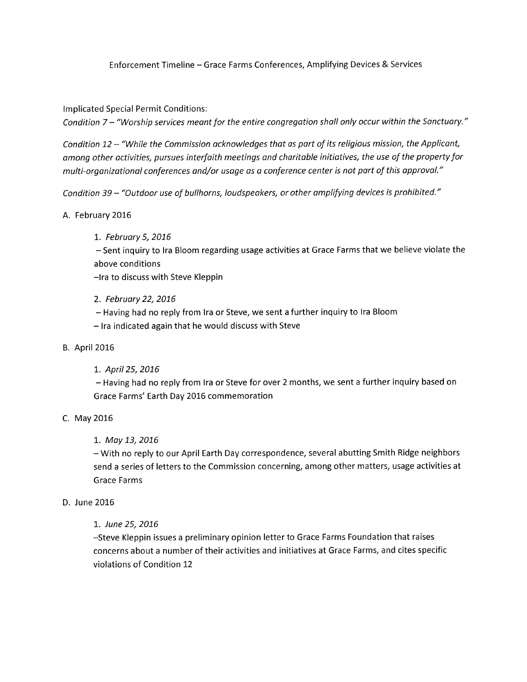## Enforcement Timeline - Grace Farms Conferences, Amplifying Devices & Services

lmplicated Special Permit Conditions:

Condition 7 - "Worship services meant for the entire congregation shall only occur within the Sanctuary."

Condition 12 - "While the Commission acknowledges that as part of its religious mission, the Applicant, omong other octivities, pursues interfoith meetings ond choritoble initiotives, the use of the property for multi-organizational conferences and/or usage as a conference center is not part of this approval."

Condition 39 - "Outdoor use of bullhorns, loudspeakers, or other amplifying devices is prohibited."

## A. February 2016

1. February 5, 2016

- Sent inquiry to lra Bloom regarding usage activities at Grace Farms that we believe violate the above conditions

-lra to discuss with Steve Kleppin

2. February 22,2076

- Having had no reply from lra or Steve, we sent a further inquiry to lra Bloom

- lra indicated again that he would discuss with Steve

### B. April 2016

1. April 25, 2016

- Having had no reply from lra or Steve for over 2 months, we sent a further inquiry based on Grace Farms' Earth Day 2016 commemoration

# C. May 2016

# 1. May 13, 2016

- With no reply to our April Earth Day correspondence, several abutting Smith Ridge neighbors send a series of letters to the Commission concerning, among other matters, usage activities at Grace Farms

### D. June 2016

### 1. June 25, 2016

-Steve Kleppin issues a preliminary opinion letter to Grace Farms Foundation that raises concerns about a number of their activities and initiatives at Grace Farms, and cites specific violations of Condition 12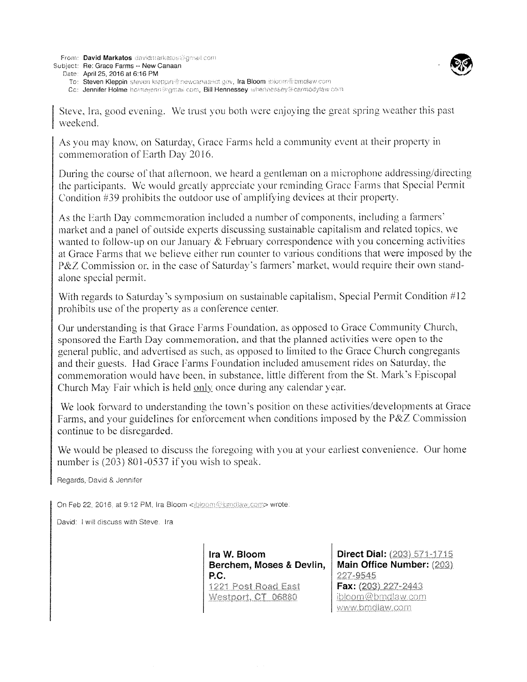From: David Markatos davidmarkatos@gmail.com

Subject: Re: Grace Farms -- New Canaan



To: Steven Kleppin steven klappin@newcanaanct.gov, Ira Bloom ibioom@bmdlaw.com

Cc: Jennifer Holme holme(enn@gmail.com, Bill Hennessey whennessey@carmodylaw.com

Steve, Ira, good evening. We trust you both were enjoying the great spring weather this past weekend.

As you may know, on Saturday, Grace Farms held a community event at their property in commemoration of Earth Day 2016.

During the course of that afternoon, we heard a gentleman on a microphone addressing/directing the participants. We would greatly appreciate your reminding Grace Farms that Special Permit Condition  $#39$  prohibits the outdoor use of amplifying devices at their property.

As the Earth Day commemoration included a number of components, including a farmers' market and a panel of outside experts discussing sustainable capitalism and related topics, we wanted to follow-up on our January  $\&$  February correspondence with you concerning activities at Grace Farms that we believe either run counter to various conditions that were imposed by the P&Z Commission or, in the case of Saturday's farmers' market, would require their own standalone special permit.

With regards to Saturday's symposium on sustainable capitalism, Special Permit Condition #12 prohibits use of the property as a conference center.

Our understanding is that Grace Farms Foundation, as opposed to Grace Community Church, sponsored the Earth Day commemoration, and that the planned activities were open to the general public, and advertised as such, as opposed to limited to the Grace Church congregants and their guests. Had Grace Farms Foundation included amusement rides on Saturday, the commemoration would have been, in substance, little different from the St. Mark's Episcopal Church May Fair which is held only once during any calendar year.

We look forward to understanding the town's position on these activities/developments at Grace Farms, and your guidelines for enforcement when conditions imposed by the P&Z Commission continue to be disregarded.

We would be pleased to discuss the foregoing with you at your earliest convenience. Our home number is  $(203)$  801-0537 if you wish to speak.

Regards, David & Jennifer

On Feb 22, 2016, at 9:12 PM, Ira Bloom <ibloom@bmdlaw.com> wrote:

David: I will discuss with Steve. Ira

Ira W. Bloom Berchem, Moses & Devlin, P.C. 1221 Post Road East Westport, CT 06880

Direct Dial: (203) 571-1715 Main Office Number: (203) 227-9545 Fax: (203) 227-2443 ibloom@bmdlaw.com www.bmdlaw.com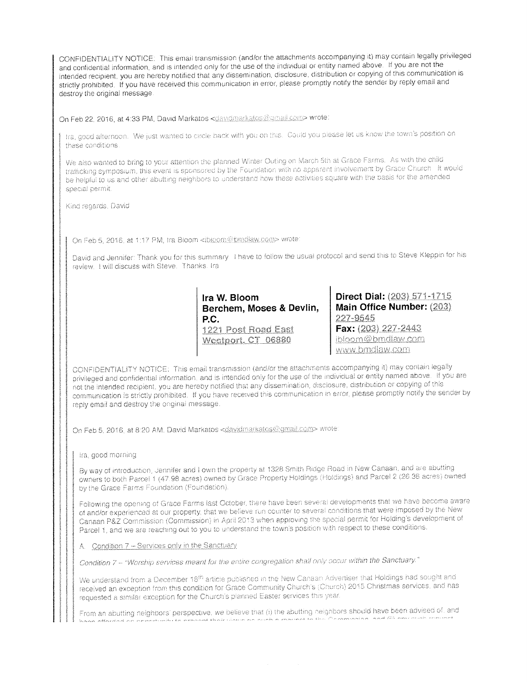CONFIDENTIALITY NOTICE: This email transmission (and/or the attachments accompanying it) may contain legally privileged and confidential information, and is intended only for the use of the individual or entity named above. If you are not the intended recipient, you are hereby notified that any dissemination, disclosure, distribution or copying of this communication is strictly prohibited. If you have received this communication in error, please promptly notify the sender by reply email and destroy the original message.

On Feb 22, 2016, at 4:33 PM, David Markatos <davidmarkatos@gmail.com> wrote:

fra, good afternoon. We just wanted to circle back with you on this. Could you please let us know the town's position on these conditions.

We also wanted to bring to your attention the planned Winter Outing on March 5th at Grace Farms. As with the child trafficking symposium, this event is sponsored by the Foundation with no apparent involvement by Grace Church It would be helpful to us and other abutting neighbors to understand how these activities square with the basis for the amended special permit.

Kind regards, David

On Feb 5, 2016, at 1:17 PM, Ira Bloom <ibloom@bmdlaw.com> wrote:

David and Jennifer: Thank you for this summary. I have to follow the usual protocol and send this to Steve Kleppin for his review. I will discuss with Steve. Thanks. Ira

> Ira W. Bloom Berchem, Moses & Devlin, P.C. 1221 Post Road East Westport, CT 06880

**Direct Dial:** (203) 571-1715 Main Office Number: (203) 227-9545 Fax: (203) 227-2443 ibloom@bmdlaw.com www.bmdlaw.com

CONFIDENTIALITY NOTICE: This email transmission (and/or the attachments accompanying it) may contain legally privileged and confidential information, and is intended only for the use of the individual or entity named above. If you are not the intended recipient, you are hereby notified that any dissemination, disclosure, distribution or copying of this communication is strictly prohibited. If you have received this communication in error, please promptly notify the sender by reply email and destroy the original message.

On Feb 5, 2016, at 8:20 AM, David Markatos < davidmarkatos@gmail.com> wrote:

Ira, good morning

By way of introduction, Jennifer and I own the property at 1328 Smith Ridge Road in New Canaan, and are abutting owners to both Parcel 1 (47.98 acres) owned by Grace Property Holdings (Holdings) and Parcel 2 (26.38 acres) owned by the Grace Farms Foundation (Foundation).

Following the opening of Grace Farms last October, there have been several developments that we have become aware of and/or experienced at our property, that we believe run counter to several conditions that were imposed by the New Canaan P&Z Commission (Commission) in April 2013 when approving the special permit for Holding's development of Parcel 1, and we are reaching out to you to understand the town's position with respect to these conditions.

A. Condition 7 - Services only in the Sanctuary

Condition 7 - "Worship services meant for the entire congregation shall only occur within the Sanctuary."

We understand from a December 18<sup>th</sup> article published in the New Canaan Advertiser that Holdings had sought and received an exception from this condition for Grace Community Church's (Church) 2015 Christmas services, and has requested a similar exception for the Church's planned Easter services this year.

From an abutting neighbors' perspective, we believe that (i) the abutting neighbors should have been advised of, and ومخلفه لخط وخجم ومعجب لخراجتهم والخراس للمراجع والمراوية والمتواطئ والمراوي والمراوي والمراوي والمراوي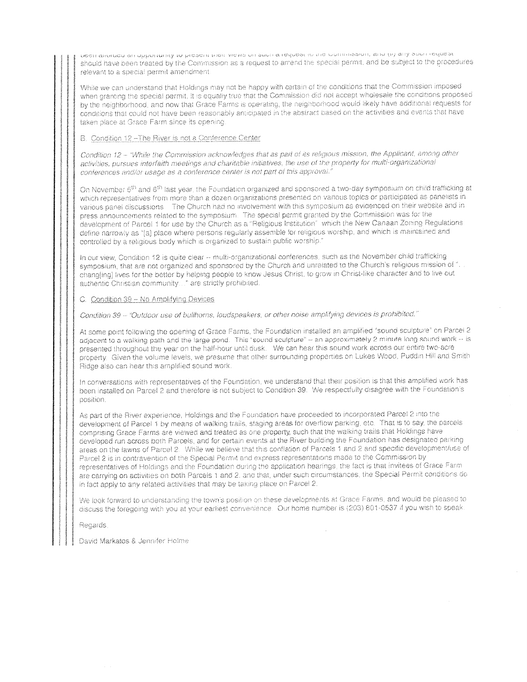הפפון שווהתפת שון הממהתונותול זה מופספות ותפת מופחה שיות שחינו פופקתסאו זה עיתונותו השמה לתוך שנול אחרו ופלתפאר should have been treated by the Commission as a request to amend the special permit, and be subject to the procedures relevant to a special permit amendment.

While we can understand that Holdings may not be happy with certain of the conditions that the Commission imposed when granting the special permit, it is equally true that the Commission did not accept wholesale the conditions proposed by the neighborhood, and now that Grace Farms is operating, the neighborhood would likely have additional requests for conditions that could not have been reasonably anticipated in the abstract based on the activities and events that have taken place at Grace Farm since its opening.

#### B. Condition 12-The River is not a Conference Center

Condition 12 - "While the Commission acknowledges that as part of its religious mission, the Applicant, among other activities, pursues interfaith meetings and charitable initiatives, the use of the property for multi-organizational conferences and/or usage as a conference center is not part of this approval.<sup>1</sup>

On November 5<sup>th</sup> and 6<sup>th</sup> last year, the Foundation organized and sponsored a two-day symposium on child trafficking at which representatives from more than a dozen organizations presented on various topics or participated as panelists in various panel discussions The Church had no involvement with this symposium as evidenced on their website and in press announcements related to the symposium. The special permit granted by the Commission was for the development of Parcel 1 for use by the Church as a "Religious Institution" which the New Canaan Zoning Regulations define narrowly as "[a] place where persons regularly assemble for religious worship, and which is maintained and controlled by a religious body which is organized to sustain public worship."

In our view, Condition 12 is quite clear -- multi-organizational conferences, such as the November child trafficking symposium, that are not organized and sponsored by the Church and unrelated to the Church's religious mission of ". chang[ing] lives for the better by helping people to know Jesus Christ, to grow in Christ-like character and to live out authentic Christian community..." are strictly prohibited.

#### C. Condition 39 - No Amplifying Devices

Condition 39 - "Outdoor use of bullhorns, loudspeakers, or other noise amplifying devices is prohibited."

At some point following the opening of Grace Farms, the Foundation installed an amplified "sound sculpture" on Parcel 2 adjacent to a walking path and the large pond. This "sound sculpture" - an approximately 2 minute long sound work ~ is presented throughout the year on the half-hour until dusk. We can hear this sound work across our entire two-acre property. Given the volume levels, we presume that other surrounding properties on Lukes Wood, Puddin Hill and Smith Ridge also can hear this amplified sound work.

In conversations with representatives of the Foundation, we understand that their position is that this amplified work has been installed on Parcel 2 and therefore is not subject to Condition 39. We respectfully disagree with the Foundation's position.

As part of the River experience, Holdings and the Foundation have proceeded to incorporated Parcel 2 into the development of Parcel 1 by means of walking trails, staging areas for overflow parking, etc. That is to say, the parcels comprising Grace Farms are viewed and treated as one property, such that the walking trails that Holdings have developed run across both Parcels, and for certain events at the River building the Foundation has designated parking areas on the lawns of Parcel 2. While we believe that this conflation of Parcels 1 and 2 and specific development/use of Parcel 2 is in contravention of the Special Permit and express representations made to the Commission by representatives of Holdings and the Foundation during the application hearings, the fact is that invitees of Grace Farm are carrying on activities on both Parcels 1 and 2, and that, under such circumstances, the Special Permit conditions do in fact apply to any related activities that may be taking place on Parcel 2.

We look forward to understanding the town's position on these developments at Grace Farms, and would be pleased to discuss the foregoing with you at your earliest convenience. Our home number is (203) 801-0537 if you wish to speak.

Regards

David Markatos & Jennifer Holme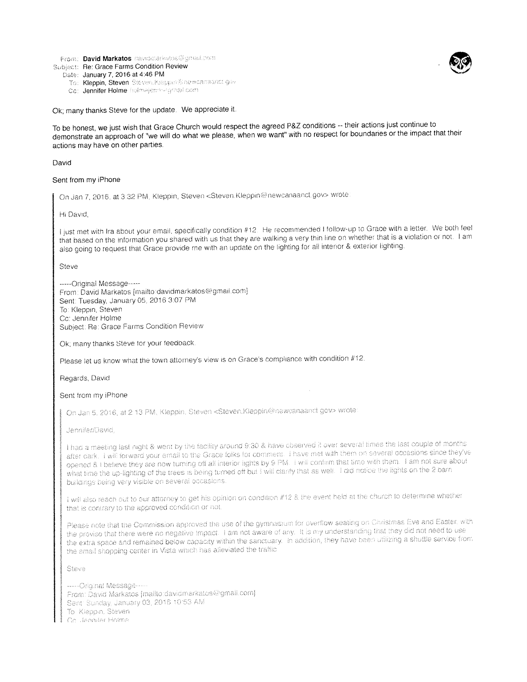From: David Markatos davidenariestos@gmail.com

Subject: Re: Grace Farms Condition Review

Date: January 7, 2016 at 4:46 PM To: Kleppin, Steven Steven.Kleppin@newcamamct.gov

Co: Jennifer Holme holmejerini agmail com

Ok; many thanks Steve for the update. We appreciate it.

To be honest, we just wish that Grace Church would respect the agreed P&Z conditions -- their actions just continue to demonstrate an approach of "we will do what we please, when we want" with no respect for boundaries or the impact that their actions may have on other parties.

#### David

#### Sent from my iPhone

On Jan 7, 2016. at 3:32 PM, Kleppin, Steven <Steven.Kleppin@newcanaanct.gov> wrote

#### Hi David,

I just met with Ira about your email, specifically condition #12. He recommended I follow-up to Grace with a letter. We both feel that based on the information you shared with us that they are walking a very thin line on whether that is a violation or not. I am also going to request that Grace provide me with an update on the lighting for all interior & exterior lighting.

Steve

-----Original Message-----From: David Markatos [mailto:davidmarkatos@gmail.com] Sent: Tuesday, January 05, 2016 3:07 PM To: Kleppin, Steven Cc: Jennifer Holme Subject: Re: Grace Farms Condition Review

Ok; many thanks Steve for your feedback

Please let us know what the town attorney's view is on Grace's compliance with condition #12.

#### Regards, David

#### Sent from my iPhone

On Jan 5, 2016, at 2.13 PM, Kleppin, Steven <Steven.Kleppin@newcanaanct.gov> wrote

Jennifer/David,

I had a meeting last night & went by the facility around 9:30 & have observed it over several times the last couple of months after dark. I will forward your email to the Grace folks for comment. I have met with them on several occasions since they've opened & I believe they are now turning off all interior lights by 9 PM. I will confirm that time with them. I am not sure about what time the up-lighting of the trees is being turned off but I will clanfy that as well. I did notice the lights on the 2 barn buildings being very visible on several occasions.

I will also reach out to our attorney to get his opinion on condition #12 & the event held at the church to determine whether that is contrary to the approved condition or not.

Please note that the Commission approved the use of the gymnasium for overflow seating on Christmas Eve and Easter, with the proviso that there were no negative impact. I am not aware of any. It is my understanding that they did not need to use the extra space and remained below capacity within the sanctuary. In addition, they have been utilizing a shuttle service from the small shopping center in Vista which has alleviated the traffic

Steve

-----Original Message-----From: David Markatos [mailto:davidmarkatos@gmail.com] Sent: Sunday, January 03, 2016 10:53 AM To Kleppin, Steven Co., leonifer Holme

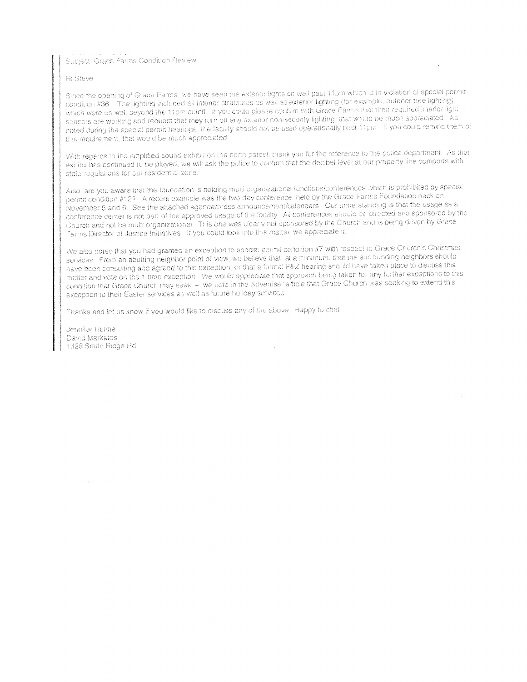Subject: Grace Farms Condition Review

#### Hi Steve

Since the opening of Grace Farms, we have seen the exterior lights on well past 11pm which is in violation of special permit condition #36. The lighting included all interior structures as well as exterior lighting (for example, outdoor tree lighting) which were on well beyond the 11pm cutoff. If you could please confirm with Grace Farms that their required interior light sensors are working and request that they furn off any exterior non-security lighting, that would be much appreciated. As noted during the special permit hearings, the facility should not be used operationally past 11pm. If you could remind them of this requirement, that would be much appreciated

With regards to the amplified sound exhibit on the north parcel, thank you for the reference to the police department. As that exhibit has continued to be played, we will ask the police to confirm that the decibel level at our property line comports with state requlations for our residential zone.

Also, are you aware that the foundation is holding multi organizational functions/conferences which is prohibited by special permit condition #12? A recent example was the two day conterence held by the Grace Farms Foundation back on November 5 and 6. See the attached agenda/press announcement/calendars. Our understanding is that the usage as a conference center is not part of the approved usage of the facility. All conferences should be directed and sponsored by the Church and not be multi organizational. This one was clearly not sponsored by the Church and is being driven by Grace Farms Director of Justice Initiatives If you could look into this matter, we appreciate it.

We also noted that you had granted an exception to special permit condition #7 with respect to Grace Church's Christmas services. From an abutting neighbor point of view, we believe that, at a minimum, that the surrounding neighbors should have been consulting and agreed to this exception, or that a formal P&Z hearing should have taken place to discuss this matter and vote on the 1 time exception. We would appreciate that approach being taken for any further exceptions to this condition that Grace Church may seek - we note in the Advertiser article that Grace Church was seeking to extend this exception to their Easter services as well as future holiday services.

Thanks and let us know if you would like to discuss any of the above Happy to chat

Jennifer Holme David Markatos 1328 Smith Ridge Rd